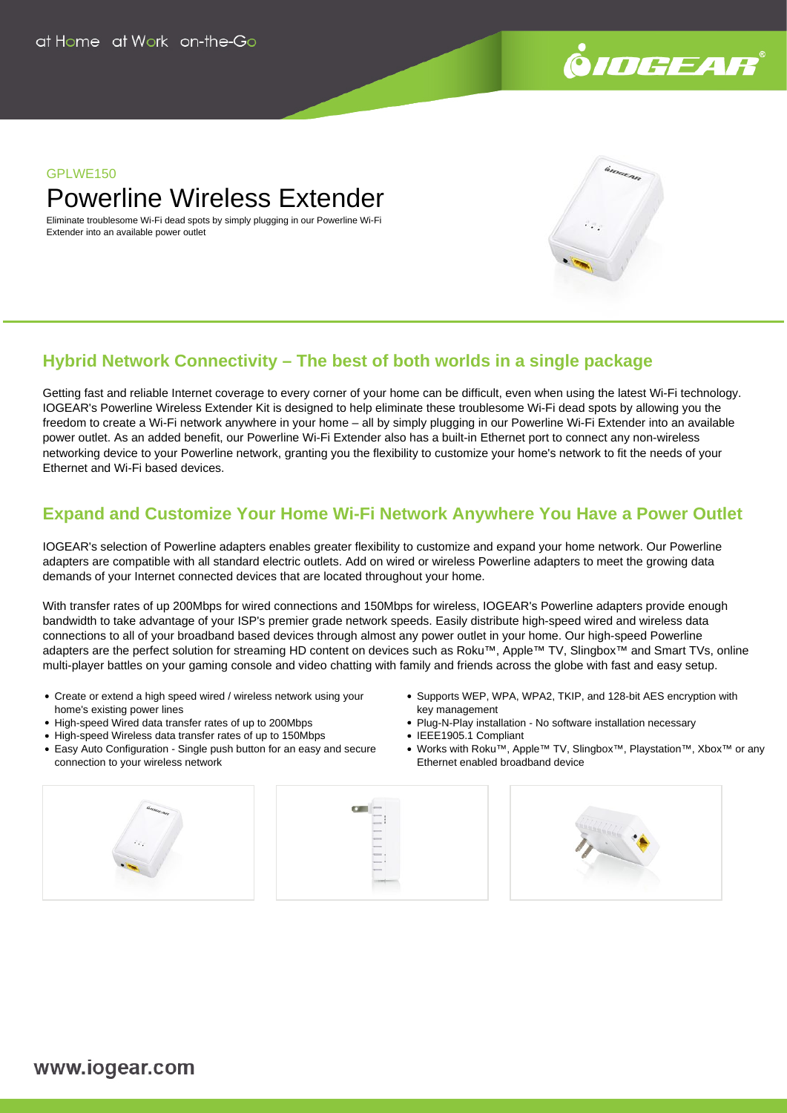

## **GPI WF150**

Powerline Wireless Extender

Eliminate troublesome Wi-Fi dead spots by simply plugging in our Powerline Wi-Fi Extender into an available power outlet

# **Hybrid Network Connectivity – The best of both worlds in a single package**

Getting fast and reliable Internet coverage to every corner of your home can be difficult, even when using the latest Wi-Fi technology. IOGEAR's Powerline Wireless Extender Kit is designed to help eliminate these troublesome Wi-Fi dead spots by allowing you the freedom to create a Wi-Fi network anywhere in your home – all by simply plugging in our Powerline Wi-Fi Extender into an available power outlet. As an added benefit, our Powerline Wi-Fi Extender also has a built-in Ethernet port to connect any non-wireless networking device to your Powerline network, granting you the flexibility to customize your home's network to fit the needs of your Ethernet and Wi-Fi based devices.

# **Expand and Customize Your Home Wi-Fi Network Anywhere You Have a Power Outlet**

IOGEAR's selection of Powerline adapters enables greater flexibility to customize and expand your home network. Our Powerline adapters are compatible with all standard electric outlets. Add on wired or wireless Powerline adapters to meet the growing data demands of your Internet connected devices that are located throughout your home.

With transfer rates of up 200Mbps for wired connections and 150Mbps for wireless, IOGEAR's Powerline adapters provide enough bandwidth to take advantage of your ISP's premier grade network speeds. Easily distribute high-speed wired and wireless data connections to all of your broadband based devices through almost any power outlet in your home. Our high-speed Powerline adapters are the perfect solution for streaming HD content on devices such as Roku™, Apple™ TV, Slingbox™ and Smart TVs, online multi-player battles on your gaming console and video chatting with family and friends across the globe with fast and easy setup.

- Create or extend a high speed wired / wireless network using your home's existing power lines
- High-speed Wired data transfer rates of up to 200Mbps
- High-speed Wireless data transfer rates of up to 150Mbps
- Easy Auto Configuration Single push button for an easy and secure connection to your wireless network
- Supports WEP, WPA, WPA2, TKIP, and 128-bit AES encryption with key management
- Plug-N-Play installation No software installation necessary
- IEEE1905.1 Compliant
- Works with Roku™, Apple™ TV, Slingbox™, Playstation™, Xbox™ or any Ethernet enabled broadband device